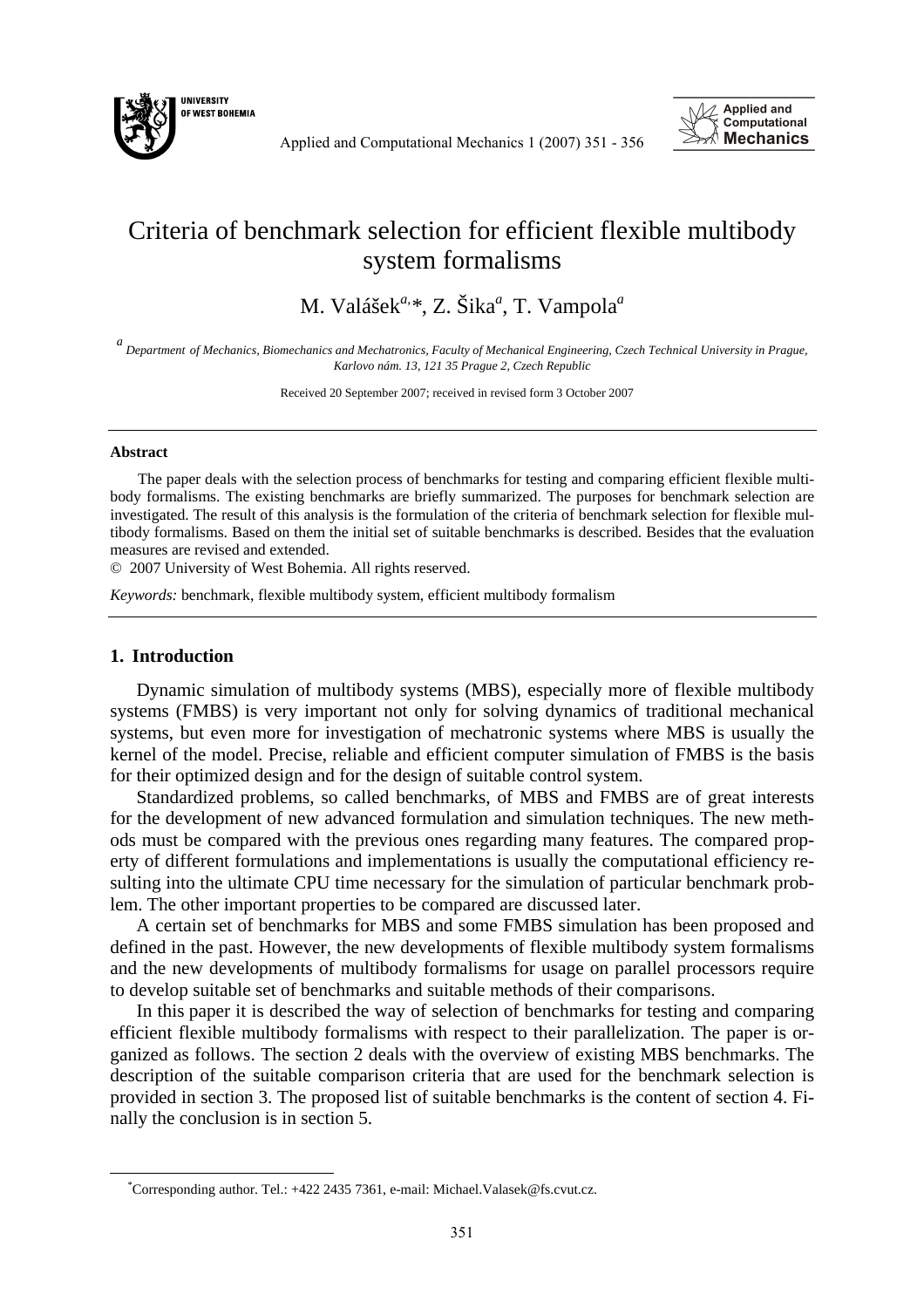

Applied and Computational Mechanics 1 (2007) 351 - 356



## Criteria of benchmark selection for efficient flexible multibody system formalisms

M. Valášek*a,\**, Z. Šika*<sup>a</sup>* , T. Vampola*<sup>a</sup>*

*a Department of Mechanics, Biomechanics and Mechatronics, Faculty of Mechanical Engineering, Czech Technical University in Prague, Karlovo nám. 13, 121 35 Prague 2, Czech Republic* 

Received 20 September 2007; received in revised form 3 October 2007

## **Abstract**

The paper deals with the selection process of benchmarks for testing and comparing efficient flexible multibody formalisms. The existing benchmarks are briefly summarized. The purposes for benchmark selection are investigated. The result of this analysis is the formulation of the criteria of benchmark selection for flexible multibody formalisms. Based on them the initial set of suitable benchmarks is described. Besides that the evaluation measures are revised and extended.

© 2007 University of West Bohemia. All rights reserved.

*Keywords:* benchmark, flexible multibody system, efficient multibody formalism

## **1. Introduction**

 $\overline{a}$ 

Dynamic simulation of multibody systems (MBS), especially more of flexible multibody systems (FMBS) is very important not only for solving dynamics of traditional mechanical systems, but even more for investigation of mechatronic systems where MBS is usually the kernel of the model. Precise, reliable and efficient computer simulation of FMBS is the basis for their optimized design and for the design of suitable control system.

Standardized problems, so called benchmarks, of MBS and FMBS are of great interests for the development of new advanced formulation and simulation techniques. The new methods must be compared with the previous ones regarding many features. The compared property of different formulations and implementations is usually the computational efficiency resulting into the ultimate CPU time necessary for the simulation of particular benchmark problem. The other important properties to be compared are discussed later.

A certain set of benchmarks for MBS and some FMBS simulation has been proposed and defined in the past. However, the new developments of flexible multibody system formalisms and the new developments of multibody formalisms for usage on parallel processors require to develop suitable set of benchmarks and suitable methods of their comparisons.

In this paper it is described the way of selection of benchmarks for testing and comparing efficient flexible multibody formalisms with respect to their parallelization. The paper is organized as follows. The section 2 deals with the overview of existing MBS benchmarks. The description of the suitable comparison criteria that are used for the benchmark selection is provided in section 3. The proposed list of suitable benchmarks is the content of section 4. Finally the conclusion is in section 5.

<sup>\*</sup>Corresponding author. Tel.: +422 2435 7361, e-mail: Michael.Valasek@fs.cvut.cz.